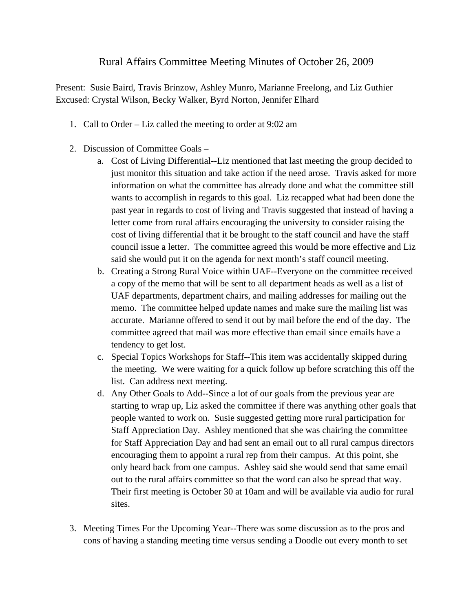## Rural Affairs Committee Meeting Minutes of October 26, 2009

Present: Susie Baird, Travis Brinzow, Ashley Munro, Marianne Freelong, and Liz Guthier Excused: Crystal Wilson, Becky Walker, Byrd Norton, Jennifer Elhard

- 1. Call to Order Liz called the meeting to order at 9:02 am
- 2. Discussion of Committee Goals
	- a. Cost of Living Differential--Liz mentioned that last meeting the group decided to just monitor this situation and take action if the need arose. Travis asked for more information on what the committee has already done and what the committee still wants to accomplish in regards to this goal. Liz recapped what had been done the past year in regards to cost of living and Travis suggested that instead of having a letter come from rural affairs encouraging the university to consider raising the cost of living differential that it be brought to the staff council and have the staff council issue a letter. The committee agreed this would be more effective and Liz said she would put it on the agenda for next month's staff council meeting.
	- b. Creating a Strong Rural Voice within UAF--Everyone on the committee received a copy of the memo that will be sent to all department heads as well as a list of UAF departments, department chairs, and mailing addresses for mailing out the memo. The committee helped update names and make sure the mailing list was accurate. Marianne offered to send it out by mail before the end of the day. The committee agreed that mail was more effective than email since emails have a tendency to get lost.
	- c. Special Topics Workshops for Staff--This item was accidentally skipped during the meeting. We were waiting for a quick follow up before scratching this off the list. Can address next meeting.
	- d. Any Other Goals to Add--Since a lot of our goals from the previous year are starting to wrap up, Liz asked the committee if there was anything other goals that people wanted to work on. Susie suggested getting more rural participation for Staff Appreciation Day. Ashley mentioned that she was chairing the committee for Staff Appreciation Day and had sent an email out to all rural campus directors encouraging them to appoint a rural rep from their campus. At this point, she only heard back from one campus. Ashley said she would send that same email out to the rural affairs committee so that the word can also be spread that way. Their first meeting is October 30 at 10am and will be available via audio for rural sites.
- 3. Meeting Times For the Upcoming Year--There was some discussion as to the pros and cons of having a standing meeting time versus sending a Doodle out every month to set